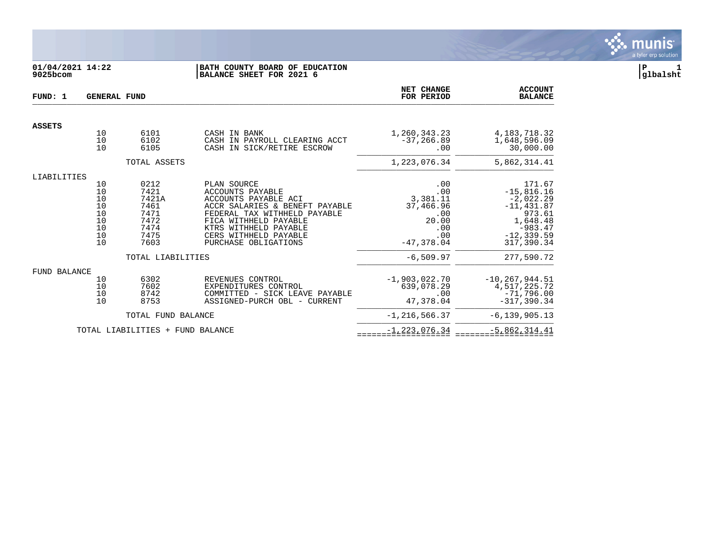

# **01/04/2021 14:22 |BATH COUNTY BOARD OF EDUCATION |P 1 9025bcom |BALANCE SHEET FOR 2021 6 |glbalsht**

| FUND: 1             | <b>GENERAL FUND</b>                                                                      |                                                                       |                                                                                                                                                                                                                              | NET CHANGE<br>FOR PERIOD                                                          | <b>ACCOUNT</b><br><b>BALANCE</b>                                                                                         |
|---------------------|------------------------------------------------------------------------------------------|-----------------------------------------------------------------------|------------------------------------------------------------------------------------------------------------------------------------------------------------------------------------------------------------------------------|-----------------------------------------------------------------------------------|--------------------------------------------------------------------------------------------------------------------------|
| <b>ASSETS</b>       |                                                                                          |                                                                       |                                                                                                                                                                                                                              |                                                                                   |                                                                                                                          |
|                     | 10<br>10<br>10                                                                           | 6101<br>6102<br>6105                                                  | CASH IN BANK<br>CASH IN PAYROLL CLEARING ACCT<br>CASH IN SICK/RETIRE ESCROW                                                                                                                                                  | 1,260,343.23<br>$-37, 266.89$<br>.00                                              | 4, 183, 718. 32<br>1,648,596.09<br>30,000.00                                                                             |
|                     |                                                                                          | TOTAL ASSETS                                                          |                                                                                                                                                                                                                              | 1,223,076.34                                                                      | 5,862,314.41                                                                                                             |
| LIABILITIES         |                                                                                          |                                                                       |                                                                                                                                                                                                                              |                                                                                   |                                                                                                                          |
|                     | 10<br>$\frac{10}{10}$<br>10<br>10<br>10<br>$\begin{array}{c} 10 \\ 10 \end{array}$<br>10 | 0212<br>7421<br>7421A<br>7461<br>7471<br>7472<br>7474<br>7475<br>7603 | PLAN SOURCE<br>ACCOUNTS PAYABLE<br>ACCOUNTS PAYABLE ACI<br>ACCR SALARIES & BENEFT PAYABLE<br>FEDERAL TAX WITHHELD PAYABLE<br>FICA WITHHELD PAYABLE<br>KTRS WITHHELD PAYABLE<br>CERS WITHHELD PAYABLE<br>PURCHASE OBLIGATIONS | .00<br>.00<br>3,381.11<br>37,466.96<br>.00<br>20.00<br>.00<br>.00<br>$-47,378.04$ | 171.67<br>$-15,816.16$<br>$-2,022.29$<br>$-11, 431.87$<br>973.61<br>1,648.48<br>$-983.47$<br>$-12, 339.59$<br>317,390.34 |
|                     |                                                                                          | TOTAL LIABILITIES                                                     |                                                                                                                                                                                                                              | $-6, 509.97$                                                                      | 277,590.72                                                                                                               |
| <b>FUND BALANCE</b> | 10<br>$\frac{10}{10}$<br>10                                                              | 6302<br>7602<br>8742<br>8753                                          | REVENUES CONTROL<br>EXPENDITURES CONTROL<br>COMMITTED - SICK LEAVE PAYABLE<br>ASSIGNED-PURCH OBL - CURRENT                                                                                                                   | $-1,903,022.70$<br>639,078.29<br>.00<br>47,378.04                                 | $-10, 267, 944.51$<br>4,517,225.72<br>$-71,796.00$<br>$-317.390.34$                                                      |
|                     |                                                                                          | TOTAL FUND BALANCE                                                    |                                                                                                                                                                                                                              | $-1, 216, 566.37$                                                                 | $-6, 139, 905.13$                                                                                                        |
|                     |                                                                                          | TOTAL LIABILITIES + FUND BALANCE                                      |                                                                                                                                                                                                                              | $-1, 223, 076.34$                                                                 | $-5,862,314.41$                                                                                                          |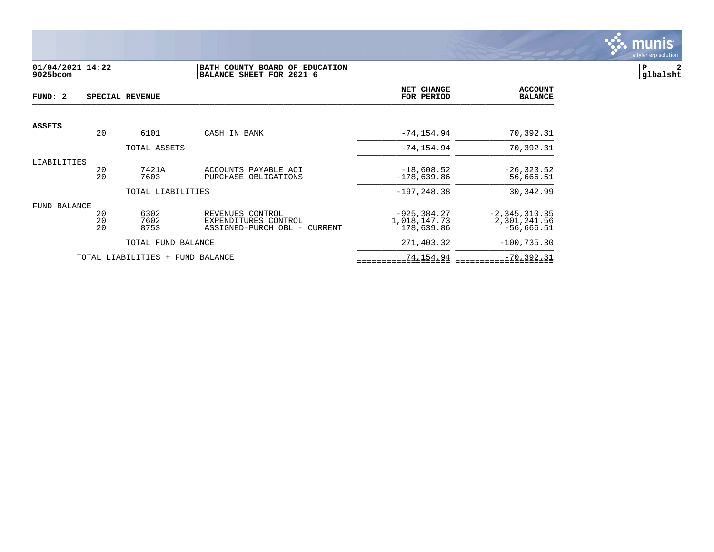

## **01/04/2021 14:22 |BATH COUNTY BOARD OF EDUCATION |P 2 9025bcom |BALANCE SHEET FOR 2021 6 |glbalsht**

| FUND: 2       |                | SPECIAL REVENUE                  |                                                                          | NET CHANGE<br>FOR PERIOD                     | <b>ACCOUNT</b><br><b>BALANCE</b>                  |
|---------------|----------------|----------------------------------|--------------------------------------------------------------------------|----------------------------------------------|---------------------------------------------------|
| <b>ASSETS</b> |                |                                  |                                                                          |                                              |                                                   |
|               | 20             | 6101                             | CASH IN BANK                                                             | $-74, 154.94$                                | 70,392.31                                         |
|               |                | TOTAL ASSETS                     |                                                                          | $-74, 154.94$                                | 70,392.31                                         |
| LIABILITIES   | 20<br>20       | 7421A<br>7603                    | ACCOUNTS PAYABLE ACI<br>PURCHASE OBLIGATIONS                             | $-18,608.52$<br>$-178,639.86$                | $-26, 323.52$<br>56,666.51                        |
|               |                | TOTAL LIABILITIES                |                                                                          | $-197, 248.38$                               | 30,342.99                                         |
| FUND BALANCE  | 20<br>20<br>20 | 6302<br>7602<br>8753             | REVENUES CONTROL<br>EXPENDITURES CONTROL<br>ASSIGNED-PURCH OBL - CURRENT | $-925, 384.27$<br>1,018,147.73<br>178,639.86 | $-2, 345, 310.35$<br>2,301,241.56<br>$-56,666.51$ |
|               |                | TOTAL FUND BALANCE               |                                                                          | 271,403.32                                   | $-100, 735.30$                                    |
|               |                | TOTAL LIABILITIES + FUND BALANCE |                                                                          | 74,154.94                                    | $-70, 392.31$                                     |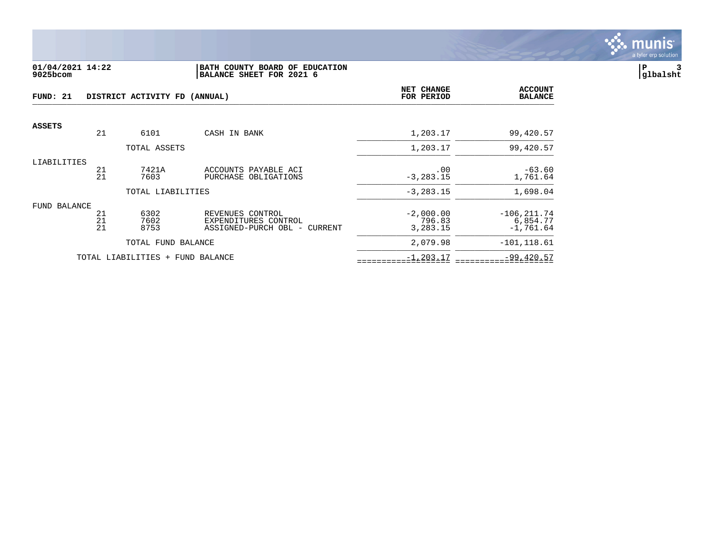

#### **01/04/2021 14:22 |BATH COUNTY BOARD OF EDUCATION |P 3 9025bcom |BALANCE SHEET FOR 2021 6 |glbalsht**

| FUND: 21      |                | DISTRICT ACTIVITY FD (ANNUAL)    | NET CHANGE<br>FOR PERIOD                                                 | <b>ACCOUNT</b><br><b>BALANCE</b>  |                                           |
|---------------|----------------|----------------------------------|--------------------------------------------------------------------------|-----------------------------------|-------------------------------------------|
| <b>ASSETS</b> |                |                                  |                                                                          |                                   |                                           |
|               | 21             | 6101                             | CASH IN BANK                                                             | 1,203.17                          | 99,420.57                                 |
|               |                | TOTAL ASSETS                     |                                                                          | 1,203.17                          | 99,420.57                                 |
| LIABILITIES   | 21<br>21       | 7421A<br>7603                    | ACCOUNTS PAYABLE ACI<br>PURCHASE OBLIGATIONS                             | .00<br>$-3, 283.15$               | $-63.60$<br>1,761.64                      |
|               |                | TOTAL LIABILITIES                |                                                                          | $-3, 283.15$                      | 1,698.04                                  |
| FUND BALANCE  | 21<br>21<br>21 | 6302<br>7602<br>8753             | REVENUES CONTROL<br>EXPENDITURES CONTROL<br>ASSIGNED-PURCH OBL - CURRENT | $-2,000.00$<br>796.83<br>3,283.15 | $-106, 211.74$<br>6,854.77<br>$-1,761.64$ |
|               |                | TOTAL FUND BALANCE               |                                                                          | 2,079.98                          | $-101, 118.61$                            |
|               |                | TOTAL LIABILITIES + FUND BALANCE |                                                                          | $-1, 203.17$                      | $-99,420.57$                              |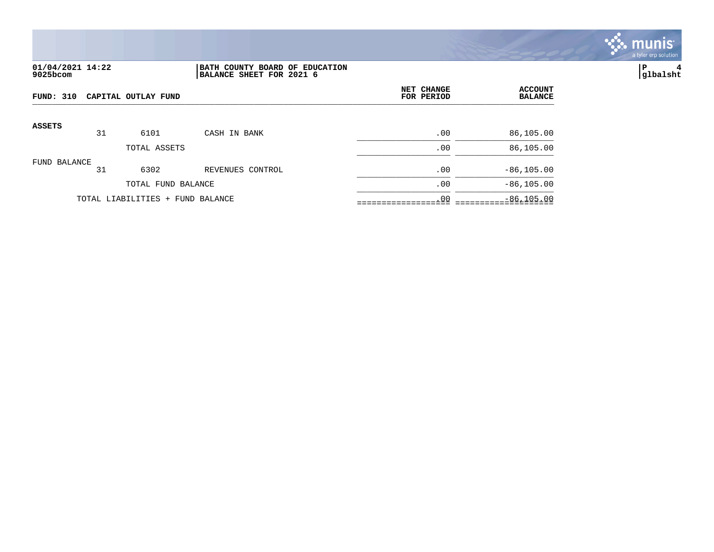

# **01/04/2021 14:22 |BATH COUNTY BOARD OF EDUCATION |P 4 9025bcom |BALANCE SHEET FOR 2021 6 |glbalsht**

| FUND: 310<br>CAPITAL OUTLAY FUND |    |                                  | NET CHANGE<br>FOR PERIOD | <b>ACCOUNT</b><br><b>BALANCE</b> |               |
|----------------------------------|----|----------------------------------|--------------------------|----------------------------------|---------------|
| <b>ASSETS</b>                    | 31 | 6101                             | CASH IN BANK             | .00                              | 86,105.00     |
|                                  |    | TOTAL ASSETS                     |                          | .00                              | 86,105.00     |
| FUND BALANCE                     | 31 | 6302                             | REVENUES CONTROL         | .00                              | $-86, 105.00$ |
|                                  |    | TOTAL FUND BALANCE               |                          | .00                              | $-86, 105.00$ |
|                                  |    | TOTAL LIABILITIES + FUND BALANCE |                          | .00                              | $-86, 105.00$ |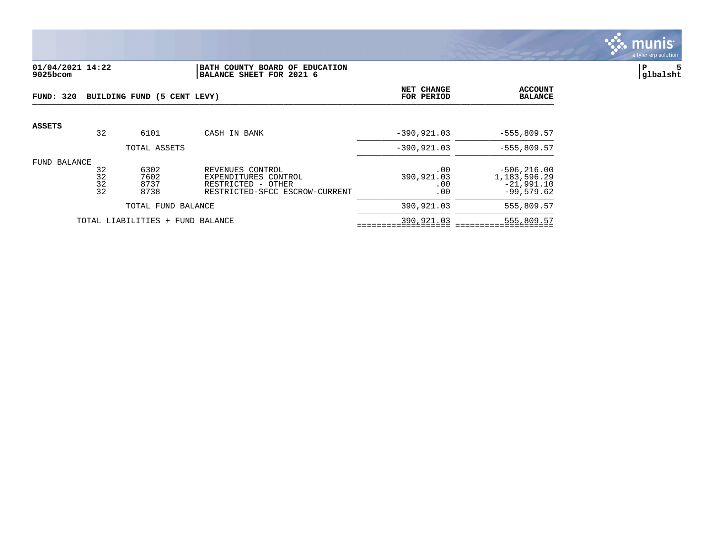

#### **01/04/2021 14:22 |BATH COUNTY BOARD OF EDUCATION |P 5 9025bcom |BALANCE SHEET FOR 2021 6 |glbalsht**

| FUND: 320                        |                      | BUILDING FUND (5 CENT LEVY)  |                                                                                                  | NET CHANGE<br>FOR PERIOD        | <b>ACCOUNT</b><br><b>BALANCE</b>                                  |
|----------------------------------|----------------------|------------------------------|--------------------------------------------------------------------------------------------------|---------------------------------|-------------------------------------------------------------------|
| ASSETS                           | 32                   | 6101                         | CASH IN BANK                                                                                     | $-390, 921.03$                  | $-555,809.57$                                                     |
|                                  |                      | TOTAL ASSETS                 |                                                                                                  | $-390, 921.03$                  | $-555,809.57$                                                     |
| FUND BALANCE                     | 32<br>32<br>32<br>32 | 6302<br>7602<br>8737<br>8738 | REVENUES CONTROL<br>EXPENDITURES CONTROL<br>RESTRICTED - OTHER<br>RESTRICTED-SFCC ESCROW-CURRENT | .00<br>390,921.03<br>.00<br>.00 | $-506, 216.00$<br>1, 183, 596. 29<br>$-21,991.10$<br>$-99.579.62$ |
|                                  | TOTAL FUND BALANCE   |                              |                                                                                                  | 390,921.03                      | 555,809.57                                                        |
| TOTAL LIABILITIES + FUND BALANCE |                      |                              | 390,921.03                                                                                       | 555,809.57                      |                                                                   |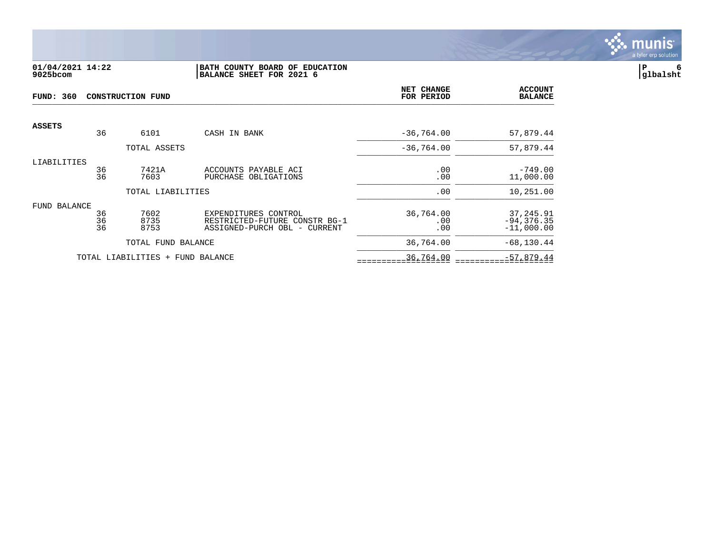

## **01/04/2021 14:22 |BATH COUNTY BOARD OF EDUCATION |P 6 9025bcom |BALANCE SHEET FOR 2021 6 |glbalsht**

| <b>FUND: 360</b><br><b>CONSTRUCTION FUND</b> |          |                    |                                                               | <b>NET CHANGE</b><br>FOR PERIOD | <b>ACCOUNT</b><br><b>BALANCE</b> |
|----------------------------------------------|----------|--------------------|---------------------------------------------------------------|---------------------------------|----------------------------------|
| <b>ASSETS</b>                                |          |                    |                                                               |                                 |                                  |
|                                              | 36       | 6101               | CASH IN BANK                                                  | $-36,764.00$                    | 57,879.44                        |
|                                              |          | TOTAL ASSETS       |                                                               | $-36, 764.00$                   | 57,879.44                        |
| LIABILITIES                                  |          |                    |                                                               |                                 |                                  |
|                                              | 36<br>36 | 7421A              | ACCOUNTS PAYABLE ACI                                          | .00                             | $-749.00$                        |
|                                              |          | 7603               | PURCHASE OBLIGATIONS                                          | .00                             | 11,000.00                        |
|                                              |          | TOTAL LIABILITIES  |                                                               | .00                             | 10,251.00                        |
| FUND BALANCE                                 |          |                    |                                                               |                                 |                                  |
|                                              | 36       | 7602               | EXPENDITURES CONTROL                                          | 36,764.00                       | 37,245.91                        |
|                                              | 36<br>36 | 8735<br>8753       | RESTRICTED-FUTURE CONSTR BG-1<br>ASSIGNED-PURCH OBL - CURRENT | .00<br>.00                      | $-94, 376.35$<br>$-11,000.00$    |
|                                              |          | TOTAL FUND BALANCE |                                                               | 36,764.00                       | $-68, 130.44$                    |
|                                              |          | TOTAL LIABILITIES  | + FUND BALANCE                                                | 36,764.00                       | $-57,879.44$                     |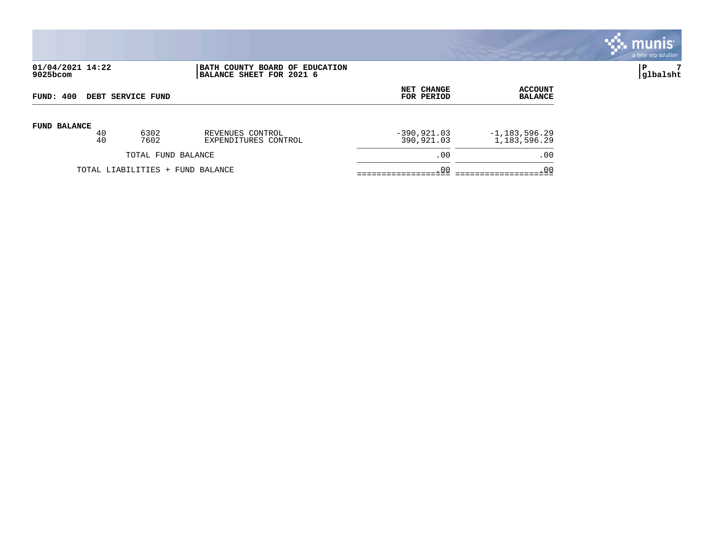

# **01/04/2021 14:22 |BATH COUNTY BOARD OF EDUCATION |P 7 9025bcom |BALANCE SHEET FOR 2021 6 |glbalsht**

| FUND: 400           |          | DEBT SERVICE FUND                | NET CHANGE<br>FOR PERIOD                 | ACCOUNT<br><b>BALANCE</b>    |                                    |
|---------------------|----------|----------------------------------|------------------------------------------|------------------------------|------------------------------------|
| <b>FUND BALANCE</b> | 40<br>40 | 6302<br>7602                     | REVENUES CONTROL<br>EXPENDITURES CONTROL | $-390, 921.03$<br>390,921.03 | $-1,183,596.29$<br>1, 183, 596. 29 |
|                     |          | TOTAL FUND BALANCE               |                                          | .00                          | .00                                |
|                     |          | TOTAL LIABILITIES + FUND BALANCE |                                          | .00                          | .00                                |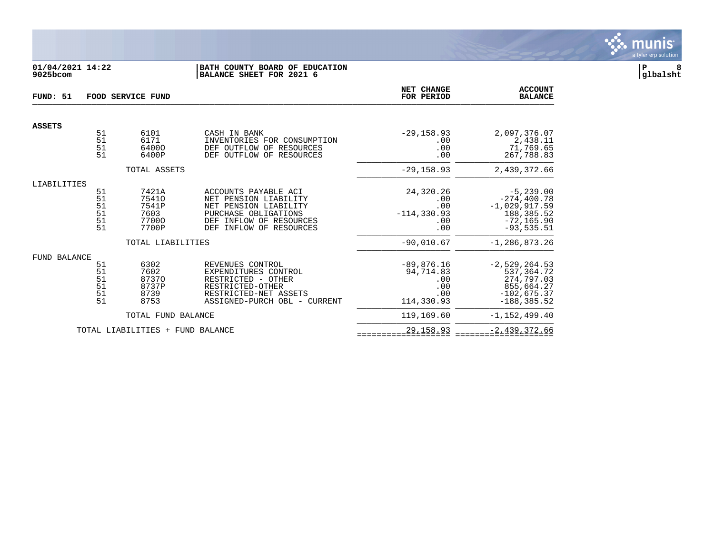

## **01/04/2021 14:22 |BATH COUNTY BOARD OF EDUCATION |P 8 9025bcom |BALANCE SHEET FOR 2021 6 |glbalsht**

| FUND: 51                         | FOOD SERVICE FUND                                               |                                                   |                                                                                                                                                                   |                                                              | <b>ACCOUNT</b><br><b>BALANCE</b>                                                                 |
|----------------------------------|-----------------------------------------------------------------|---------------------------------------------------|-------------------------------------------------------------------------------------------------------------------------------------------------------------------|--------------------------------------------------------------|--------------------------------------------------------------------------------------------------|
| <b>ASSETS</b>                    |                                                                 |                                                   |                                                                                                                                                                   |                                                              |                                                                                                  |
|                                  | 51<br>51<br>51<br>51                                            | 6101<br>6171<br>64000<br>6400P                    | CASH IN BANK<br>INVENTORIES FOR CONSUMPTION<br>DEF OUTFLOW OF RESOURCES<br>DEF OUTFLOW OF RESOURCES                                                               | $-29, 158.93$<br>.00<br>.00<br>.00                           | 2,097,376.07<br>2,438.11<br>71,769.65<br>267,788.83                                              |
|                                  |                                                                 | TOTAL ASSETS                                      |                                                                                                                                                                   | $-29, 158.93$                                                | 2,439,372.66                                                                                     |
| LIABILITIES                      |                                                                 |                                                   |                                                                                                                                                                   |                                                              |                                                                                                  |
|                                  | 51<br>51<br>51<br>51<br>51<br>51                                | 7421A<br>75410<br>7541P<br>7603<br>77000<br>7700P | ACCOUNTS PAYABLE ACI<br>NET PENSION LIABILITY<br>NET PENSION LIABILITY<br>PURCHASE OBLIGATIONS<br>INFLOW OF RESOURCES<br>DEF<br><b>DEF</b><br>INFLOW OF RESOURCES | 24,320.26<br>.00<br>.00<br>$-114, 330.93$<br>.00<br>.00      | $-5, 239.00$<br>$-274, 400.78$<br>$-1,029,917.59$<br>188,385.52<br>$-72, 165.90$<br>$-93,535.51$ |
|                                  |                                                                 | TOTAL LIABILITIES                                 |                                                                                                                                                                   | $-90,010.67$                                                 | $-1, 286, 873.26$                                                                                |
| FUND BALANCE                     |                                                                 |                                                   |                                                                                                                                                                   |                                                              |                                                                                                  |
|                                  | 51<br>51<br>$\begin{array}{c} 51 \\ 51 \end{array}$<br>51<br>51 | 6302<br>7602<br>87370<br>8737P<br>8739<br>8753    | REVENUES CONTROL<br>EXPENDITURES CONTROL<br>RESTRICTED - OTHER<br>RESTRICTED-OTHER<br>RESTRICTED-NET ASSETS<br>ASSIGNED-PURCH OBL - CURRENT                       | $-89,876.16$<br>94,714.83<br>.00<br>.00<br>.00<br>114,330.93 | $-2,529,264.53$<br>537,364.72<br>274,797.03<br>855,664.27<br>$-102,675.37$<br>$-188.385.52$      |
|                                  |                                                                 | TOTAL FUND BALANCE                                |                                                                                                                                                                   | 119,169.60                                                   | $-1, 152, 499.40$                                                                                |
| TOTAL LIABILITIES + FUND BALANCE |                                                                 |                                                   | 29, 158.93                                                                                                                                                        | $-2,439,372.66$                                              |                                                                                                  |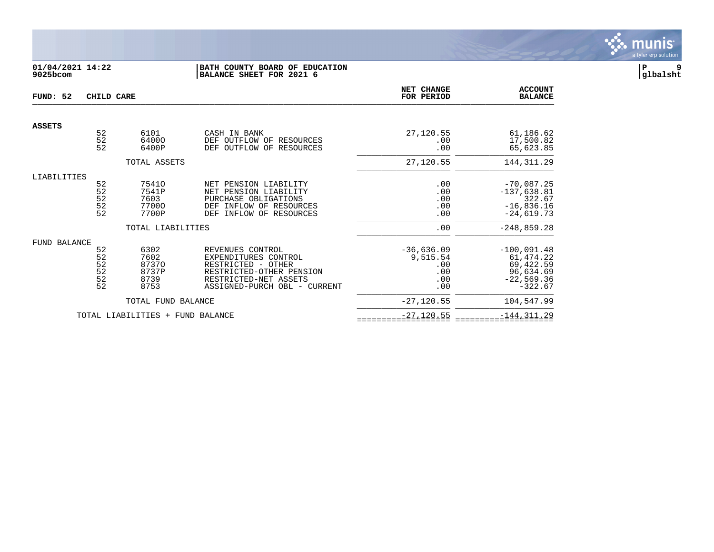

# **01/04/2021 14:22 |BATH COUNTY BOARD OF EDUCATION |P 9 9025bcom |BALANCE SHEET FOR 2021 6 |glbalsht**

| FUND: 52                            | CHILD CARE                                     |                                                               | NET CHANGE<br>FOR PERIOD                                                                                                                            | <b>ACCOUNT</b><br><b>BALANCE</b>                     |                                                                                          |
|-------------------------------------|------------------------------------------------|---------------------------------------------------------------|-----------------------------------------------------------------------------------------------------------------------------------------------------|------------------------------------------------------|------------------------------------------------------------------------------------------|
| <b>ASSETS</b>                       |                                                |                                                               |                                                                                                                                                     |                                                      |                                                                                          |
|                                     | $\begin{array}{c} 52 \\ 52 \end{array}$<br>52  | 6101<br>64000<br>6400P                                        | CASH IN BANK<br>DEF OUTFLOW OF RESOURCES<br>OUTFLOW OF<br>RESOURCES<br>DEF                                                                          | 27,120.55<br>.00<br>.00                              | 61,186.62<br>17,500.82<br>65,623.85                                                      |
|                                     |                                                | TOTAL ASSETS                                                  |                                                                                                                                                     | 27,120.55                                            | 144, 311.29                                                                              |
| LIABILITIES                         | 52<br>$\frac{52}{52}$<br>52<br>52              | 75410<br>7541P<br>7603<br>77000<br>7700P<br>TOTAL LIABILITIES | NET PENSION LIABILITY<br>NET PENSION LIABILITY<br>PURCHASE OBLIGATIONS<br>INFLOW OF RESOURCES<br>DEF<br>INFLOW OF RESOURCES<br>DEF                  | .00<br>.00<br>.00<br>.00<br>.00<br>.00               | $-70,087.25$<br>$-137,638.81$<br>322.67<br>$-16,836.16$<br>$-24,619.73$<br>$-248,859.28$ |
| FUND BALANCE                        | 52<br>52<br>$\frac{52}{52}$<br>$\frac{52}{52}$ | 6302<br>7602<br>87370<br>8737P<br>8739<br>8753                | REVENUES CONTROL<br>EXPENDITURES CONTROL<br>RESTRICTED - OTHER<br>RESTRICTED-OTHER PENSION<br>RESTRICTED-NET ASSETS<br>ASSIGNED-PURCH OBL - CURRENT | $-36,636.09$<br>9,515.54<br>.00<br>.00<br>.00<br>.00 | $-100,091.48$<br>61,474.22<br>69,422.59<br>96,634.69<br>$-22,569.36$<br>$-322.67$        |
|                                     |                                                | TOTAL FUND BALANCE                                            |                                                                                                                                                     | $-27, 120.55$                                        | 104,547.99                                                                               |
| TOTAL LIABILITIES +<br>FUND BALANCE |                                                |                                                               | $-27, 120.55$                                                                                                                                       | $-144, 311.29$                                       |                                                                                          |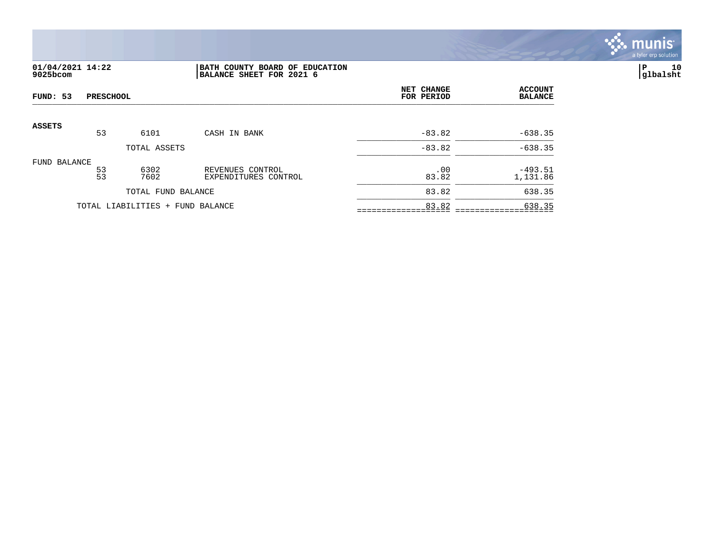

# **01/04/2021 14:22 |BATH COUNTY BOARD OF EDUCATION |P 10 9025bcom |BALANCE SHEET FOR 2021 6 |glbalsht**

| <b>PRESCHOOL</b><br>FUND: 53 |                    |                                  |                                          | NET CHANGE<br>FOR PERIOD | <b>ACCOUNT</b><br><b>BALANCE</b> |
|------------------------------|--------------------|----------------------------------|------------------------------------------|--------------------------|----------------------------------|
| <b>ASSETS</b>                | 53                 | 6101                             | CASH IN BANK                             | $-83.82$                 | $-638.35$                        |
|                              |                    | TOTAL ASSETS                     |                                          | $-83.82$                 | $-638.35$                        |
| FUND BALANCE                 |                    |                                  |                                          |                          |                                  |
|                              | 53<br>53           | 6302<br>7602                     | REVENUES CONTROL<br>EXPENDITURES CONTROL | .00<br>83.82             | $-493.51$<br>1,131.86            |
|                              | TOTAL FUND BALANCE |                                  |                                          | 83.82                    | 638.35                           |
|                              |                    | TOTAL LIABILITIES + FUND BALANCE |                                          | 83.82                    | 638.35                           |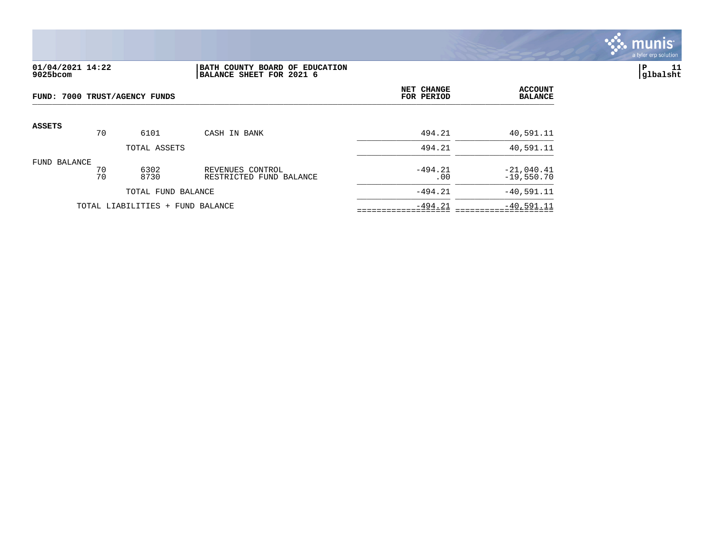

#### **01/04/2021 14:22 |BATH COUNTY BOARD OF EDUCATION |P 11 9025bcom |BALANCE SHEET FOR 2021 6 |glbalsht**

| FUND: 7000 TRUST/AGENCY FUNDS |                                  |              | NET CHANGE<br>FOR PERIOD                    | <b>ACCOUNT</b><br><b>BALANCE</b> |                              |
|-------------------------------|----------------------------------|--------------|---------------------------------------------|----------------------------------|------------------------------|
| <b>ASSETS</b>                 | 70                               | 6101         | CASH IN BANK                                | 494.21                           | 40,591.11                    |
|                               |                                  | TOTAL ASSETS |                                             | 494.21                           | 40,591.11                    |
| FUND BALANCE                  | 70<br>70                         | 6302<br>8730 | REVENUES CONTROL<br>RESTRICTED FUND BALANCE | $-494.21$<br>.00                 | $-21,040.41$<br>$-19,550.70$ |
| TOTAL FUND BALANCE            |                                  |              |                                             | $-494.21$                        | $-40,591.11$                 |
|                               | TOTAL LIABILITIES + FUND BALANCE |              |                                             | $-494.21$                        | $-40,591.11$                 |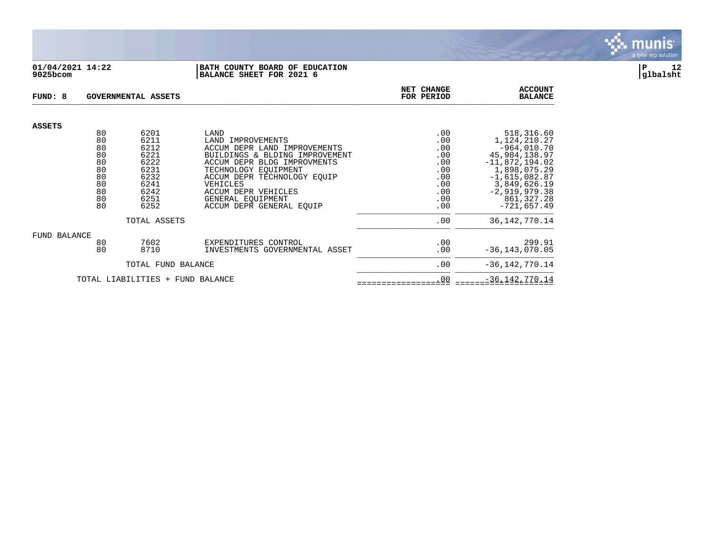

#### **01/04/2021 14:22 |BATH COUNTY BOARD OF EDUCATION |P 12 9025bcom |BALANCE SHEET FOR 2021 6 |glbalsht**

| FUND: 8       |          | GOVERNMENTAL ASSETS              |                                                   | NET CHANGE<br>FOR PERIOD | <b>ACCOUNT</b><br><b>BALANCE</b> |
|---------------|----------|----------------------------------|---------------------------------------------------|--------------------------|----------------------------------|
| <b>ASSETS</b> |          |                                  |                                                   |                          |                                  |
|               | 80<br>80 | 6201<br>6211                     | LAND                                              | .00                      | 518,316.60                       |
|               | 80       | 6212                             | LAND IMPROVEMENTS<br>ACCUM DEPR LAND IMPROVEMENTS | .00<br>.00               | 1,124,210.27<br>$-964,010.70$    |
|               | 80       | 6221                             | BUILDINGS & BLDING IMPROVEMENT                    | .00                      | 45,984,138.97                    |
|               | 80       | 6222                             | ACCUM DEPR BLDG IMPROVMENTS                       | .00                      | $-11,872,194.02$                 |
|               | 80       | 6231                             | TECHNOLOGY EOUIPMENT                              | .00                      | 1,898,075.29                     |
|               | 80       | 6232                             | ACCUM DEPR TECHNOLOGY EOUIP                       | .00                      | $-1,615,082.87$                  |
|               | 80       | 6241                             | VEHICLES                                          | .00                      | 3,849,626.19                     |
|               | 80       | 6242                             | ACCUM DEPR VEHICLES                               | .00                      | $-2,919,979.38$                  |
|               | 80<br>80 | 6251                             | GENERAL EOUIPMENT                                 | .00                      | 861, 327. 28                     |
|               |          | 6252                             | ACCUM DEPR GENERAL EQUIP                          | .00                      | $-721,657.49$                    |
|               |          | TOTAL ASSETS                     |                                                   | .00                      | 36, 142, 770. 14                 |
| FUND BALANCE  |          |                                  |                                                   |                          |                                  |
|               | 80       | 7602                             | EXPENDITURES CONTROL                              | .00                      | 299.91                           |
|               | 80       | 8710                             | INVESTMENTS GOVERNMENTAL ASSET                    | .00                      | $-36, 143, 070.05$               |
|               |          | TOTAL FUND BALANCE               |                                                   | .00                      | $-36, 142, 770.14$               |
|               |          | TOTAL LIABILITIES + FUND BALANCE |                                                   | .00                      | $-36, 142, 770.14$               |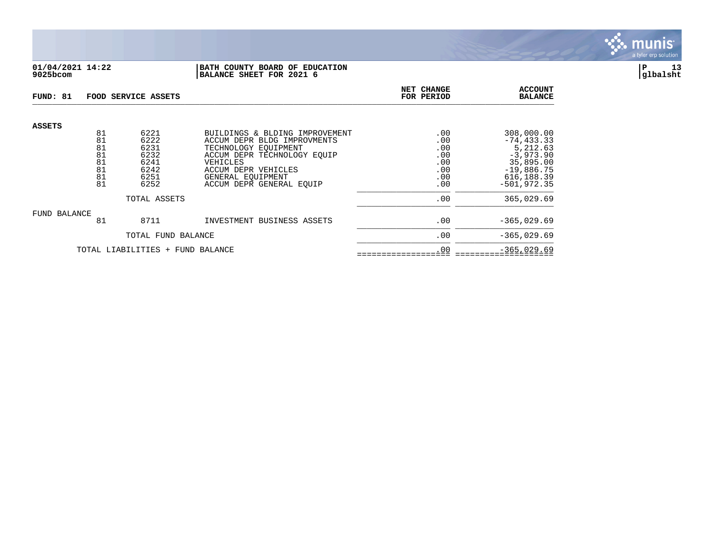

## **01/04/2021 14:22 |BATH COUNTY BOARD OF EDUCATION |P 13 9025bcom |BALANCE SHEET FOR 2021 6 |glbalsht**

| FUND: 81                         |                            | FOOD SERVICE ASSETS                  |                                                                                                                                  | NET CHANGE<br>FOR PERIOD        | <b>ACCOUNT</b><br><b>BALANCE</b>                                    |
|----------------------------------|----------------------------|--------------------------------------|----------------------------------------------------------------------------------------------------------------------------------|---------------------------------|---------------------------------------------------------------------|
| <b>ASSETS</b>                    | 81<br>81<br>81<br>81<br>81 | 6221<br>6222<br>6231<br>6232<br>6241 | BUILDINGS & BLDING IMPROVEMENT<br>ACCUM DEPR BLDG IMPROVMENTS<br>TECHNOLOGY EOUIPMENT<br>ACCUM DEPR TECHNOLOGY EQUIP<br>VEHICLES | .00<br>.00<br>.00<br>.00<br>.00 | 308,000.00<br>$-74, 433.33$<br>5,212.63<br>$-3,973.90$<br>35,895.00 |
|                                  | 81<br>81<br>81             | 6242<br>6251<br>6252                 | ACCUM DEPR VEHICLES<br>GENERAL EOUIPMENT<br>ACCUM DEPR GENERAL EQUIP                                                             | .00<br>.00<br>.00               | $-19,886.75$<br>616, 188.39<br>$-501.972.35$                        |
|                                  |                            | TOTAL ASSETS                         | .00                                                                                                                              | 365,029.69                      |                                                                     |
| FUND BALANCE                     | 81                         | 8711                                 | INVESTMENT BUSINESS ASSETS                                                                                                       | .00                             | $-365,029.69$                                                       |
|                                  | TOTAL FUND BALANCE         |                                      |                                                                                                                                  | .00                             | $-365,029.69$                                                       |
| TOTAL LIABILITIES + FUND BALANCE |                            |                                      |                                                                                                                                  | .00                             | $-365,029.69$                                                       |